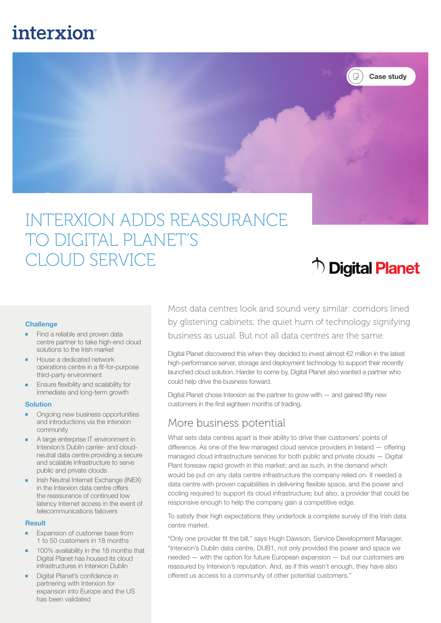# interxion



# INTERXION ADDS REASSURANCE TO DIGITAL PLANET'S CLOUD SERVICE

# <sup>个</sup> Digital Planet

### **Challenge**

- Find a reliable and proven data centre partner to take high-end cloud solutions to the Irish market
- House a dedicated network operations centre in a fit-for-purpose third-party environment
- Ensure flexibility and scalability for immediate and long-term growth

### **Solution**

- Ongoing new business opportunities and introductions via the Interxion community
- A large enterprise IT environment in Interxion's Dublin carrier- and cloudneutral data centre providing a secure and scalable infrastructure to serve public and private clouds
- Irish Neutral Internet Exchange (INEX) in the Interxion data centre offers the reassurance of continued low latency Internet access in the event of telecommunications failovers

### **Result**

- Expansion of customer base from 1 to 50 customers in 18 months
- 100% availability in the 18 months that Digital Planet has housed its cloud infrastructures in Interxion Dublin
- **Digital Planet's confidence in** partnering with Interxion for expansion into Europe and the US has been validated

Most data centres look and sound very similar: corridors lined by glistening cabinets; the quiet hum of technology signifying business as usual. But not all data centres are the same.

Digital Planet discovered this when they decided to invest almost €2 million in the latest high-performance server, storage and deployment technology to support their recently launched cloud solution. Harder to come by, Digital Planet also wanted a partner who could help drive the business forward.

Digital Planet chose Interxion as the partner to grow with  $-$  and gained fifty new customers in the first eighteen months of trading.

### More business potential

What sets data centres apart is their ability to drive their customers' points of difference. As one of the few managed cloud service providers in Ireland — offering managed cloud infrastructure services for both public and private clouds — Digital Plant foresaw rapid growth in this market; and as such, in the demand which would be put on any data centre infrastructure the company relied on. It needed a data centre with proven capabilities in delivering flexible space, and the power and cooling required to support its cloud infrastructure; but also, a provider that could be responsive enough to help the company gain a competitive edge.

To satisfy their high expectations they undertook a complete survey of the Irish data centre market.

"Only one provider fit the bill," says Hugh Dawson, Service Development Manager. "Interxion's Dublin data centre, DUB1, not only provided the power and space we needed — with the option for future European expansion — but our customers are reassured by Interxion's reputation. And, as if this wasn't enough, they have also offered us access to a community of other potential customers."